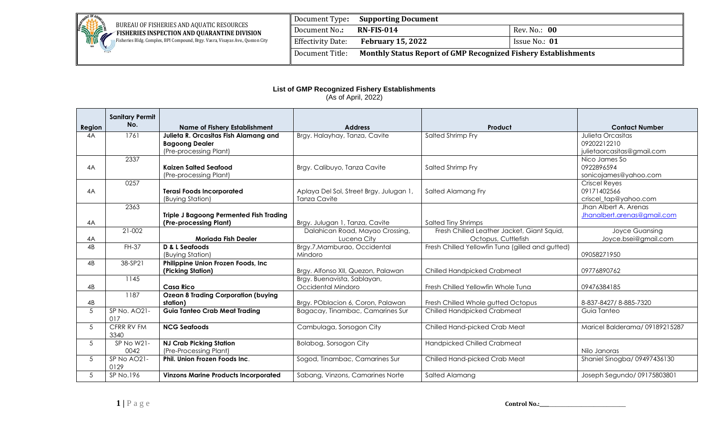

Fisheries Bldg. Complex, BPI Compound, Brgy. Vasra, Visayas Ave., Quezon City

|                          | Document Type: Supporting Document                                    |               |  |
|--------------------------|-----------------------------------------------------------------------|---------------|--|
| Document No.:            | <b>RN-FIS-014</b>                                                     | Rev. No.: 00  |  |
| <b>Effectivity Date:</b> | <b>February 15, 2022</b>                                              | Issue No.: 01 |  |
| Document Title:          | <b>Monthly Status Report of GMP Recognized Fishery Establishments</b> |               |  |

## **List of GMP Recognized Fishery Establishments** (As of April, 2022)

|                                                     | <b>Sanitary Permit</b> |                                                                          |                                         |                                                  |                               |  |
|-----------------------------------------------------|------------------------|--------------------------------------------------------------------------|-----------------------------------------|--------------------------------------------------|-------------------------------|--|
| Region                                              | No.                    | <b>Name of Fishery Establishment</b>                                     | <b>Address</b>                          | Product                                          | <b>Contact Number</b>         |  |
| 1761<br>Julieta R. Orcasitas Fish Alamang and<br>4A |                        | Brgy. Halayhay, Tanza, Cavite                                            | Salted Shrimp Fry                       | <b>Julieta Orcasitas</b>                         |                               |  |
|                                                     |                        | <b>Bagoong Dealer</b>                                                    |                                         |                                                  | 09202212210                   |  |
|                                                     |                        | (Pre-processing Plant)                                                   |                                         |                                                  | julietaorcasitas@gmail.com    |  |
|                                                     | 2337                   |                                                                          |                                         |                                                  | Nico James So                 |  |
| 4A                                                  |                        | <b>Kaizen Salted Seafood</b>                                             | Brgy. Calibuyo, Tanza Cavite            | Salted Shrimp Fry                                | 0922896594                    |  |
|                                                     |                        | (Pre-processing Plant)                                                   |                                         |                                                  | sonicojames@yahoo.com         |  |
|                                                     | 0257                   |                                                                          |                                         |                                                  | <b>Criscel Reves</b>          |  |
| 4A                                                  |                        | <b>Terasi Foods Incorporated</b>                                         | Aplaya Del Sol, Street Brgy. Julugan 1, | Salted Alamang Fry                               | 09171402566                   |  |
|                                                     |                        | (Buying Station)                                                         | <b>Tanza Cavite</b>                     |                                                  | criscel_tap@yahoo.com         |  |
|                                                     | 2363                   |                                                                          |                                         |                                                  | Jhan Albert A. Arenas         |  |
| 4A                                                  |                        | <b>Triple J Bagoong Permented Fish Trading</b><br>(Pre-processing Plant) | Brgy. Julugan 1, Tanza, Cavite          | <b>Salted Tiny Shrimps</b>                       | Jhanalbert.arenas@gmail.com   |  |
|                                                     | 21-002                 |                                                                          | Dalahican Road, Mayao Crossing,         | Fresh Chilled Leather Jacket, Giant Squid,       | Joyce Guansing                |  |
| 4A                                                  |                        | Moriada Fish Dealer                                                      | Lucena City                             | Octopus, Cuttlefish                              | Joyce.bsei@gmail.com          |  |
| 4B                                                  | FH-37                  | D & L Seafoods                                                           | Brgy.7, Mamburao, Occidental            | Fresh Chilled Yellowfin Tuna (gilled and gutted) |                               |  |
|                                                     |                        | (Buying Station)                                                         | Mindoro                                 |                                                  | 09058271950                   |  |
| 4B                                                  | 38-SP21                | Philippine Union Frozen Foods, Inc.                                      |                                         |                                                  |                               |  |
|                                                     |                        | (Picking Station)                                                        | Brgy. Alfonso XII, Quezon, Palawan      | Chilled Handpicked Crabmeat                      | 09776890762                   |  |
|                                                     | 1145                   |                                                                          | Brgy. Buenavista, Sablayan,             |                                                  |                               |  |
| 4B                                                  | <b>Casa Rico</b>       |                                                                          | Occidental Mindoro                      | Fresh Chilled Yellowfin Whole Tuna               | 09476384185                   |  |
|                                                     | 1187                   | <b>Ozean 8 Trading Corporation (buying</b>                               |                                         |                                                  |                               |  |
| 4B                                                  |                        | station)                                                                 | Brgy. POblacion 6, Coron, Palawan       | Fresh Chilled Whole gutted Octopus               | 8-837-8427/8-885-7320         |  |
| 5                                                   | SP No. AO21-           | <b>Guia Tanteo Crab Meat Trading</b>                                     | Bagacay, Tinambac, Camarines Sur        | Chilled Handpicked Crabmeat                      | Guia Tanteo                   |  |
|                                                     | 017                    |                                                                          |                                         |                                                  |                               |  |
| 5                                                   | CFRR RV FM<br>3340     | <b>NCG Seafoods</b>                                                      | Cambulaga, Sorsogon City                | Chilled Hand-picked Crab Meat                    | Maricel Balderama/09189215287 |  |
| 5                                                   | SP No W21-             | <b>NJ Crab Picking Station</b>                                           | Bolabog, Sorsogon City                  | <b>Handpicked Chilled Crabmeat</b>               |                               |  |
|                                                     | 0042                   | (Pre-Processing Plant)                                                   |                                         |                                                  | Nilo Janoras                  |  |
| 5                                                   | SP No AO21-<br>0129    | Phil. Union Frozen Foods Inc.                                            | Sogod, Tinambac, Camarines Sur          | Chilled Hand-picked Crab Meat                    | Shaniel Sinogba/ 09497436130  |  |
| 5                                                   | SP No.196              | <b>Vinzons Marine Products Incorporated</b>                              | Sabang, Vinzons, Camarines Norte        | Salted Alamang                                   | Joseph Segundo/ 09175803801   |  |

**1** | **P** a g e **Control No.:\_\_\_\_\_\_\_\_\_\_\_\_\_\_\_\_\_\_\_\_\_**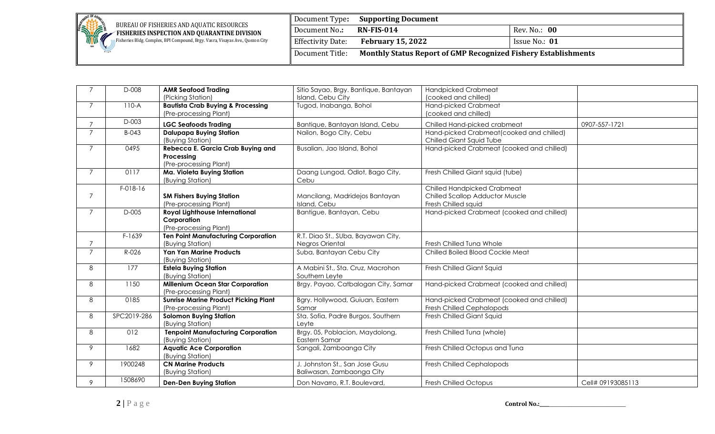

Fisheries Bldg. Complex, BPI Compound, Brgy. Vasra, Visayas Ave., Quezon City

|                          | Document Type: Supporting Document                                    |               |
|--------------------------|-----------------------------------------------------------------------|---------------|
| Document No.:            | <b>RN-FIS-014</b>                                                     | Rev. No.: 00  |
| <b>Effectivity Date:</b> | <b>February 15, 2022</b>                                              | Issue No.: 01 |
| Document Title:          | <b>Monthly Status Report of GMP Recognized Fishery Establishments</b> |               |

|                | D-008                                                              | <b>AMR Seafood Trading</b>                   | Sitio Sayao, Brgy. Bantique, Bantayan     | <b>Handpicked Crabmeat</b>                |                   |
|----------------|--------------------------------------------------------------------|----------------------------------------------|-------------------------------------------|-------------------------------------------|-------------------|
|                |                                                                    | (Picking Station)                            | Island, Cebu City                         | (cooked and chilled)                      |                   |
| 7              | $110-A$                                                            | <b>Bautista Crab Buying &amp; Processing</b> | Tugod, Inabanga, Bohol                    | Hand-picked Crabmeat                      |                   |
|                |                                                                    | (Pre-processing Plant)                       |                                           | (cooked and chilled)                      |                   |
|                | D-003                                                              | <b>LGC Seafoods Trading</b>                  | Bantique, Bantayan Island, Cebu           | Chilled Hand-picked crabmeat              | 0907-557-1721     |
| $\overline{7}$ | <b>Dalupapa Buying Station</b><br>Nailon, Bogo City, Cebu<br>B-043 |                                              | Hand-picked Crabmeat (cooked and chilled) |                                           |                   |
|                |                                                                    | (Buying Station)                             |                                           | Chilled Giant Squid Tube                  |                   |
| $\overline{7}$ | 0495                                                               | Rebecca E. Garcia Crab Buying and            | Busalian, Jao Island, Bohol               | Hand-picked Crabmeat (cooked and chilled) |                   |
|                |                                                                    | Processing                                   |                                           |                                           |                   |
|                |                                                                    | (Pre-processing Plant)                       |                                           |                                           |                   |
| $\overline{7}$ | 0117                                                               | Ma. Violeta Buying Station                   | Daang Lungod, Odlot, Bago City,           | Fresh Chilled Giant squid (tube)          |                   |
|                |                                                                    | (Buying Station)                             | Cebu                                      |                                           |                   |
|                | F-018-16                                                           |                                              |                                           | <b>Chilled Handpicked Crabmeat</b>        |                   |
|                |                                                                    | <b>SM Fishers Buying Station</b>             | Mancilang, Madridejos Bantayan            | <b>Chilled Scallop Adductor Muscle</b>    |                   |
|                |                                                                    | (Pre-processing Plant)                       | Island, Cebu                              | Fresh Chilled squid                       |                   |
|                | D-005                                                              | <b>Royal Lighthouse International</b>        | Bantigue, Bantayan, Cebu                  | Hand-picked Crabmeat (cooked and chilled) |                   |
|                |                                                                    | Corporation<br>(Pre-processing Plant)        |                                           |                                           |                   |
|                | F-1639                                                             | <b>Ten Point Manufacturing Corporation</b>   | R.T. Diao St., SUba, Bayawan City,        |                                           |                   |
|                |                                                                    | (Buying Station)                             | Negros Oriental                           | Fresh Chilled Tuna Whole                  |                   |
| $\overline{7}$ | R-026                                                              | <b>Yan Yan Marine Products</b>               | Suba, Bantayan Cebu City                  | Chilled Boiled Blood Cockle Meat          |                   |
|                |                                                                    | (Buying Station)                             |                                           |                                           |                   |
| 8              | 177                                                                | <b>Estela Buying Station</b>                 | A Mabini St., Sta. Cruz, Macrohon         | Fresh Chilled Giant Squid                 |                   |
|                |                                                                    | (Buying Station)                             | Southern Leyte                            |                                           |                   |
| 8              | 1150                                                               | <b>Millenium Ocean Star Corporation</b>      | Brgy. Payao, Catbalogan City, Samar       | Hand-picked Crabmeat (cooked and chilled) |                   |
|                |                                                                    | (Pre-processing Plant)                       |                                           |                                           |                   |
| 8              | 0185                                                               | <b>Sunrise Marine Product Picking Plant</b>  | Bgry. Hollywood, Guiuan, Eastern          | Hand-picked Crabmeat (cooked and chilled) |                   |
|                |                                                                    | (Pre-processing Plant)                       | Samar                                     | Fresh Chilled Cephalopods                 |                   |
| 8              | SPC2019-286                                                        | <b>Solomon Buying Station</b>                | Sta. Sofia, Padre Burgos, Southern        | Fresh Chilled Giant Squid                 |                   |
|                |                                                                    | (Buying Station)                             | Leyte                                     |                                           |                   |
| 8              | 012                                                                | <b>Tenpoint Manufacturing Corporation</b>    | Brgy. 05, Poblacion, Maydolong,           | Fresh Chilled Tuna (whole)                |                   |
|                |                                                                    | (Buying Station)                             | Eastern Samar                             |                                           |                   |
| 9              | 1682                                                               | <b>Aquatic Ace Corporation</b>               | Sangali, Zamboanga City                   | Fresh Chilled Octopus and Tuna            |                   |
|                |                                                                    | (Buying Station)                             |                                           |                                           |                   |
| 9              | 1900248                                                            | <b>CN Marine Products</b>                    | J. Johnston St., San Jose Gusu            | Fresh Chilled Cephalopods                 |                   |
|                |                                                                    | (Buying Station)                             | Baliwasan, Zambaonga City                 |                                           |                   |
| 9              | 1508690                                                            | <b>Den-Den Buying Station</b>                | Don Navarro, R.T. Boulevard,              | Fresh Chilled Octopus                     | Cell# 09193085113 |

**2 |** P a g e **Control No.:\_\_\_\_**\_\_\_\_\_\_\_\_\_\_\_\_\_\_\_\_\_\_\_\_\_\_\_\_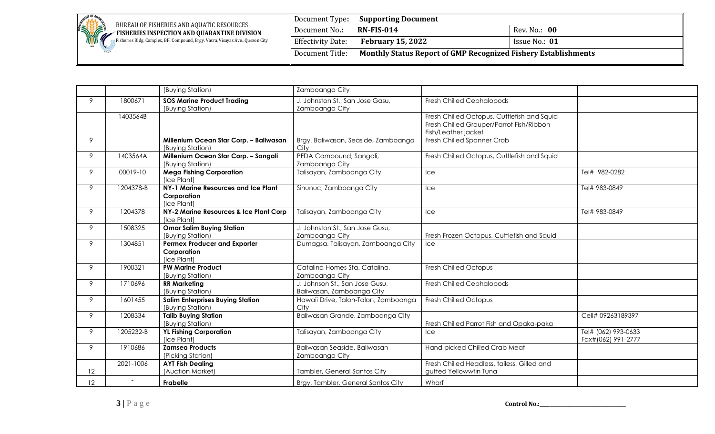

Fisheries Bldg. Complex, BPI Compound, Brgy. Vasra, Visayas Ave., Quezon City

| Document Type:           | <b>Supporting Document</b>                                            |               |  |
|--------------------------|-----------------------------------------------------------------------|---------------|--|
| Document No.:            | $RN$ -FIS-014                                                         | Rev. No.: 00  |  |
| <b>Effectivity Date:</b> | <b>February 15, 2022</b>                                              | Issue No.: 01 |  |
| Document Title:          | <b>Monthly Status Report of GMP Recognized Fishery Establishments</b> |               |  |

|                 |           | (Buying Station)                                   | Zamboanga City                       |                                             |                     |
|-----------------|-----------|----------------------------------------------------|--------------------------------------|---------------------------------------------|---------------------|
| 9               | 1800671   | <b>SOS Marine Product Trading</b>                  | J. Johnston St., San Jose Gasu,      | Fresh Chilled Cephalopods                   |                     |
|                 |           | (Buying Station)                                   | Zamboanga City                       |                                             |                     |
|                 | 1403564B  |                                                    |                                      | Fresh Chilled Octopus, Cuttlefish and Squid |                     |
|                 |           |                                                    |                                      | Fresh Chilled Grouper/Parrot Fish/Ribbon    |                     |
|                 |           |                                                    |                                      | Fish/Leather jacket                         |                     |
| 9               |           | Millenium Ocean Star Corp. - Baliwasan             | Brgy. Baliwasan, Seaside, Zamboanga  | Fresh Chilled Spanner Crab                  |                     |
|                 |           | (Buying Station)                                   | City                                 |                                             |                     |
| 9               | 1403564A  | Millenium Ocean Star Corp. - Sangali               | PFDA Compound, Sangali,              | Fresh Chilled Octopus, Cuttlefish and Squid |                     |
|                 |           | (Buying Station)                                   | Zamboanga City                       |                                             |                     |
| 9               | 00019-10  | <b>Mega Fishing Corporation</b>                    | Talisayan, Zamboanga City            | Ice                                         | Tel# 982-0282       |
| 9               | 1204378-B | (Ice Plant)<br>NY-1 Marine Resources and Ice Plant |                                      |                                             | Tel# 983-0849       |
|                 |           | Corporation                                        | Sinunuc, Zamboanga City              | <b>Ice</b>                                  |                     |
|                 |           | (Ice Plant)                                        |                                      |                                             |                     |
| 9               | 1204378   | NY-2 Marine Resources & Ice Plant Corp             | Talisayan, Zamboanga City            | <b>Ice</b>                                  | Tel# 983-0849       |
|                 |           | (Ice Plant)                                        |                                      |                                             |                     |
| 9               | 1508325   | <b>Omar Salim Buying Station</b>                   | J. Johnston St., San Jose Gusu,      |                                             |                     |
|                 |           | (Buying Station)                                   | Zamboanga City                       | Fresh Frozen Octopus, Cuttlefish and Squid  |                     |
| 9               | 1304851   | <b>Permex Producer and Exporter</b>                | Dumagsa, Talisayan, Zamboanga City   | Ice                                         |                     |
|                 |           | Corporation                                        |                                      |                                             |                     |
|                 |           | (Ice Plant)                                        |                                      |                                             |                     |
| 9               | 1900321   | <b>PW Marine Product</b>                           | Catalina Homes Sta. Catalina,        | Fresh Chilled Octopus                       |                     |
|                 |           | (Buying Station)                                   | Zamboanga City                       |                                             |                     |
| 9               | 1710696   | <b>RR Marketing</b>                                | J. Johnson St., San Jose Gusu,       | Fresh Chilled Cephalopods                   |                     |
|                 |           | (Buying Station)                                   | Baliwasan, Zamboanga City            |                                             |                     |
| 9               | 1601455   | <b>Salim Enterprises Buying Station</b>            | Hawaii Drive, Talon-Talon, Zamboanga | Fresh Chilled Octopus                       |                     |
|                 |           | (Buying Station)                                   | City                                 |                                             |                     |
| 9               | 1208334   | <b>Talib Buying Station</b>                        | Baliwasan Grande, Zamboanga City     |                                             | Cell# 09263189397   |
|                 |           | (Buying Station)                                   |                                      | Fresh Chilled Parrot Fish and Opaka-paka    |                     |
| 9               | 1205232-B | <b>YL Fishing Corporation</b><br>(Ice Plant)       | Talisayan, Zamboanga City            | <b>Ice</b>                                  | Tel# (062) 993-0633 |
| 9               | 1910686   |                                                    | Baliwasan Seaside, Baliwasan         | Hand-picked Chilled Crab Meat               | Fax#(062) 991-2777  |
|                 |           | <b>Zamsea Products</b><br>(Picking Station)        | Zamboanga City                       |                                             |                     |
|                 | 2021-1006 | <b>AYT Fish Dealing</b>                            |                                      | Fresh Chilled Headless, tailess, Gilled and |                     |
| 12              |           | (Auction Market)                                   | Tambler, General Santos City         | gutted Yellowwfin Tuna                      |                     |
|                 |           |                                                    |                                      |                                             |                     |
| 12 <sup>°</sup> |           | Frabelle                                           | Brgy. Tambler, General Santos City   | Wharf                                       |                     |

**3** | **P** a g e **Control No.:\_\_\_\_\_\_\_\_\_\_\_\_\_\_\_\_\_\_\_\_\_\_**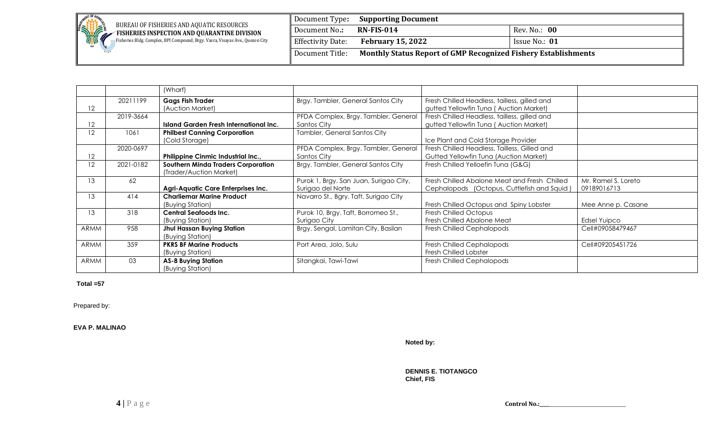

Fisheries Bldg. Complex, BPI Compound, Brgy. Vasra, Visayas Ave., Quezon City

Document Type**: Supporting Document Document No.: RN-FIS-014** Rev. No.: 00 **Effectivity Date: February 15, 2022 ISSUE NO.: 01** Document Title: **Monthly Status Report of GMP Recognized Fishery Establishments**

|             |           | (Wharf)                                                              |                                                             |                                                                                             |                                    |
|-------------|-----------|----------------------------------------------------------------------|-------------------------------------------------------------|---------------------------------------------------------------------------------------------|------------------------------------|
| 12          | 20211199  | <b>Gags Fish Trader</b><br>(Auction Market)                          | Brgy. Tambler, General Santos City                          | Fresh Chilled Headless, tailless, gilled and<br>gutted Yellowfin Tuna (Auction Market)      |                                    |
| 12          | 2019-3664 | Island Garden Fresh International Inc.                               | PFDA Complex, Brgy. Tambler, General<br>Santos City         | Fresh Chilled Headless, tailless, gilled and<br>gutted Yellowfin Tuna (Auction Market)      |                                    |
| 12          | 1061      | <b>Philbest Canning Corporation</b><br>(Cold Storage)                | Tambler, General Santos City                                | Ice Plant and Cold Storage Provider                                                         |                                    |
| 12          | 2020-0697 | Philippine Cinmic Industrial Inc.,                                   | PFDA Complex, Brgy. Tambler, General<br>Santos City         | Fresh Chilled Headless, Tailless, Gilled and<br>Gutted Yellowfin Tuna (Auction Market)      |                                    |
| 12          | 2021-0182 | <b>Southern Minda Traders Corporation</b><br>(Trader/Auction Market) | Brgy. Tambler, General Santos City                          | Fresh Chilled Yelloefin Tuna (G&G)                                                          |                                    |
| 13          | 62        | <b>Agri-Aquatic Care Enterprises Inc.</b>                            | Purok 1, Brgy. San Juan, Surigao City,<br>Surigao del Norte | Fresh Chilled Abalone Meat and Fresh Chilled<br>Cephalopods (Octopus, Cuttlefish and Squid) | Mr. Ramel S. Loreto<br>09189016713 |
| 13          | 414       | <b>Charliemar Marine Product</b><br>(Buying Station)                 | Navarro St., Bgry. Taft, Surigao City                       | Fresh Chilled Octopus and Spiny Lobster                                                     | Mee Anne p. Casane                 |
| 13          | 318       | Central Seafoods Inc.<br>(Buying Station)                            | Purok 10, Brgy. Taft, Borromeo St.,<br>Surigao City         | Fresh Chilled Octopus<br>Fresh Chilled Abalone Meat                                         | Edsel Yuipco                       |
| <b>ARMM</b> | 958       | Jhul Hassan Buying Station<br>(Buying Station)                       | Brgy. Sengal, Lamitan City, Basilan                         | Fresh Chilled Cephalopods                                                                   | Cell#09058479467                   |
| <b>ARMM</b> | 359       | <b>PKRS BF Marine Products</b><br>(Buying Station)                   | Port Area, Jolo, Sulu                                       | Fresh Chilled Cephalopods<br><b>Fresh Chilled Lobster</b>                                   | Cell#09205451726                   |
| <b>ARMM</b> | 03        | <b>AS-8 Buying Station</b><br>(Buying Station)                       | Sitangkai, Tawi-Tawi                                        | Fresh Chilled Cephalopods                                                                   |                                    |

## **Total =57**

Prepared by:

**EVA P. MALINAO**

**Noted by:**

**DENNIS E. TIOTANGCO Chief, FIS**